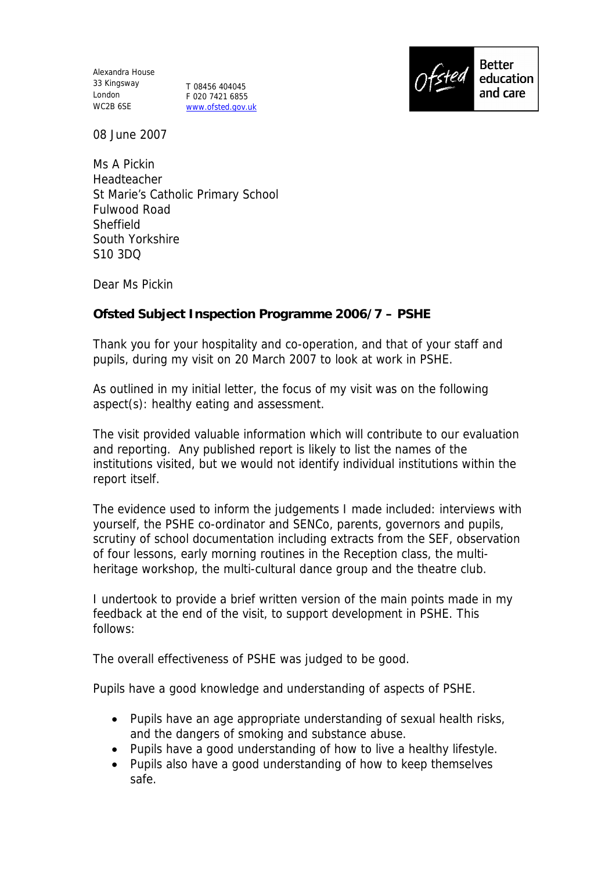Alexandra House 33 Kingsway London WC2B 6SE

T 08456 404045 F 020 7421 6855 www.ofsted.gov.uk



08 June 2007

Ms A Pickin Headteacher St Marie's Catholic Primary School Fulwood Road **Sheffield** South Yorkshire S10 3DQ

Dear Ms Pickin

**Ofsted Subject Inspection Programme 2006/7 – PSHE**

Thank you for your hospitality and co-operation, and that of your staff and pupils, during my visit on 20 March 2007 to look at work in PSHE.

As outlined in my initial letter, the focus of my visit was on the following aspect(s): healthy eating and assessment.

The visit provided valuable information which will contribute to our evaluation and reporting. Any published report is likely to list the names of the institutions visited, but we would not identify individual institutions within the report itself.

The evidence used to inform the judgements I made included: interviews with yourself, the PSHE co-ordinator and SENCo, parents, governors and pupils, scrutiny of school documentation including extracts from the SEF, observation of four lessons, early morning routines in the Reception class, the multiheritage workshop, the multi-cultural dance group and the theatre club.

I undertook to provide a brief written version of the main points made in my feedback at the end of the visit, to support development in PSHE. This follows:

The overall effectiveness of PSHE was judged to be good.

Pupils have a good knowledge and understanding of aspects of PSHE.

- Pupils have an age appropriate understanding of sexual health risks, and the dangers of smoking and substance abuse.
- Pupils have a good understanding of how to live a healthy lifestyle.
- Pupils also have a good understanding of how to keep themselves safe.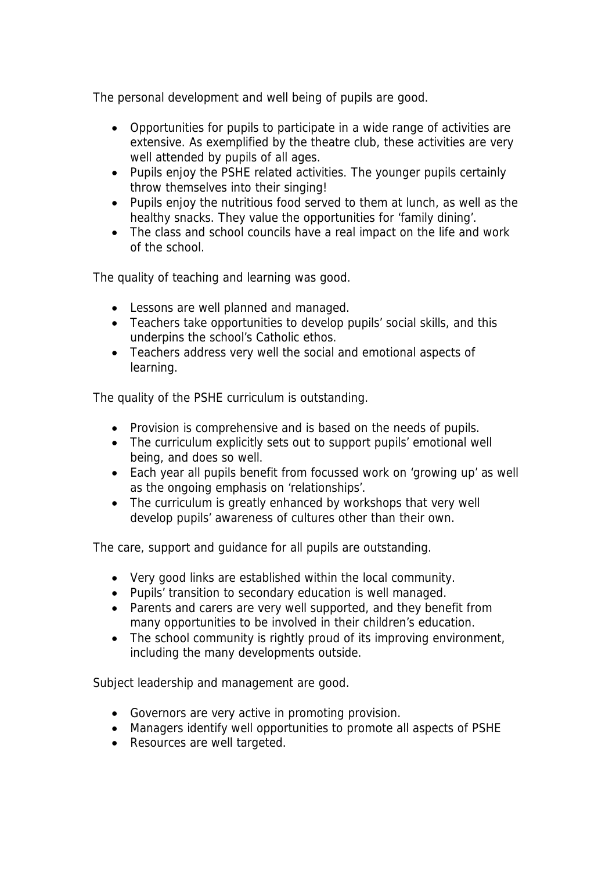The personal development and well being of pupils are good.

- Opportunities for pupils to participate in a wide range of activities are extensive. As exemplified by the theatre club, these activities are very well attended by pupils of all ages.
- Pupils enjoy the PSHE related activities. The younger pupils certainly throw themselves into their singing!
- Pupils enjoy the nutritious food served to them at lunch, as well as the healthy snacks. They value the opportunities for 'family dining'.
- The class and school councils have a real impact on the life and work of the school.

The quality of teaching and learning was good.

- Lessons are well planned and managed.
- Teachers take opportunities to develop pupils' social skills, and this underpins the school's Catholic ethos.
- Teachers address very well the social and emotional aspects of learning.

The quality of the PSHE curriculum is outstanding.

- Provision is comprehensive and is based on the needs of pupils.
- The curriculum explicitly sets out to support pupils' emotional well being, and does so well.
- Each year all pupils benefit from focussed work on 'growing up' as well as the ongoing emphasis on 'relationships'.
- The curriculum is greatly enhanced by workshops that very well develop pupils' awareness of cultures other than their own.

The care, support and guidance for all pupils are outstanding.

- Very good links are established within the local community.
- Pupils' transition to secondary education is well managed.
- Parents and carers are very well supported, and they benefit from many opportunities to be involved in their children's education.
- The school community is rightly proud of its improving environment, including the many developments outside.

Subject leadership and management are good.

- Governors are very active in promoting provision.
- Managers identify well opportunities to promote all aspects of PSHE
- Resources are well targeted.